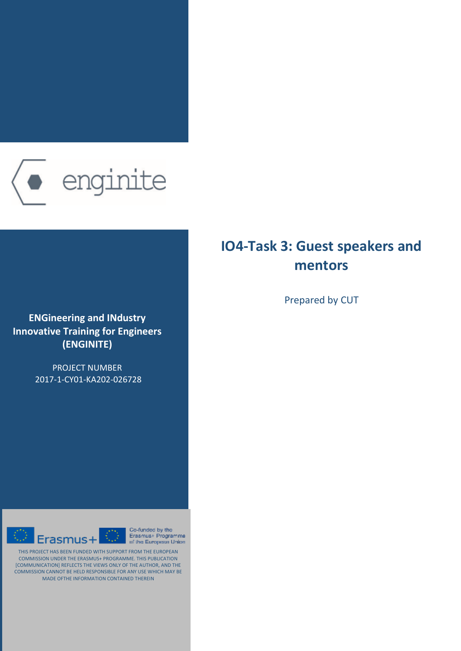

**ENGineering and IΝdustry Innovative Training for Engineers (ENGINITE)**

> PROJECT NUMBER 2017-1-CY01-KA202-026728



Co-funded by the Erasmus+ Programme of the European Union

THIS PROJECT HAS BEEN FUNDED WITH SUPPORT FROM THE EUROPEAN COMMISSION UNDER THE ERASMUS+ PROGRAMME. THIS PUBLICATION [COMMUNICATION] REFLECTS THE VIEWS ONLY OF THE AUTHOR, AND THE COMMISSION CANNOT BE HELD RESPONSIBLE FOR ANY USE WHICH MAY BE MADE OFTHE INFORMATION CONTAINED THEREIN

 $\overline{\mathbb{O}}$ 

## **IO4-Task 3: Guest speakers and mentors**

Prepared by CUT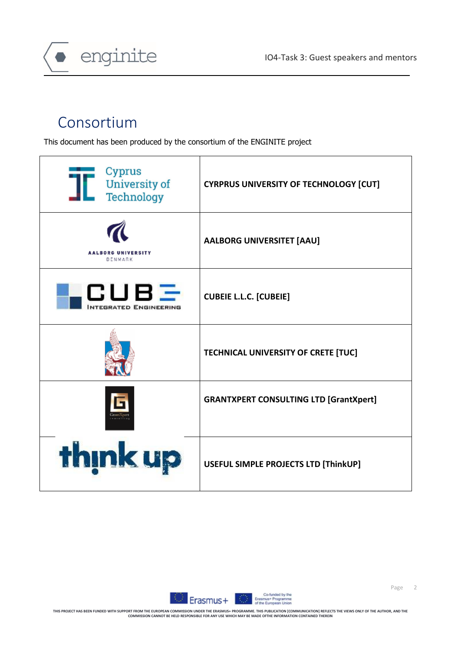

# Consortium

This document has been produced by the consortium of the ENGINITE project

| Cyprus<br><b>University of</b><br>Technology | <b>CYRPRUS UNIVERSITY OF TECHNOLOGY [CUT]</b> |
|----------------------------------------------|-----------------------------------------------|
| <b>AALBORG UNIVERSITY</b><br>DENMARK         | <b>AALBORG UNIVERSITET [AAU]</b>              |
| CUBE<br><b>NTEGRATED ENGINEERING</b>         | <b>CUBEIE L.L.C. [CUBEIE]</b>                 |
|                                              | TECHNICAL UNIVERSITY OF CRETE [TUC]           |
|                                              | <b>GRANTXPERT CONSULTING LTD [GrantXpert]</b> |
| think up                                     | USEFUL SIMPLE PROJECTS LTD [ThinkUP]          |

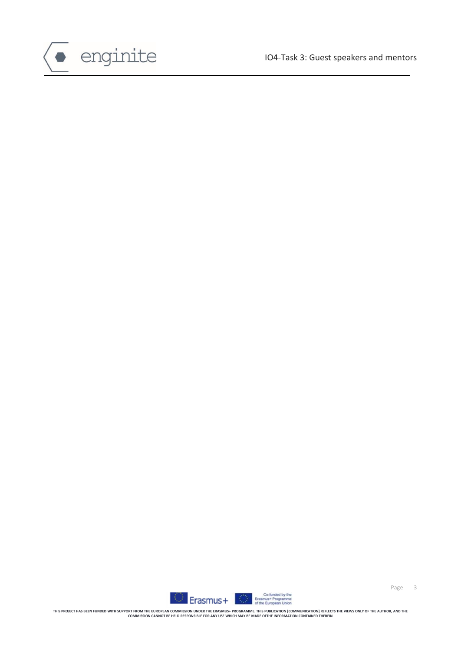

IO4-Task 3: Guest speakers and mentors



THIS PROJECT HAS BEEN FUNDED WITH SUPPORT FROM THE EUROPEAN COMMISSION UNDER THE ERASMUS+ PROGRAMME. THIS PUBLICATION [COMMUNICATION] REFLECTS THE VIEWS ONLY OF THE AUTHOR, AND THE<br>COMMISSION CANNOT BE HILD RESPONSIEL FOR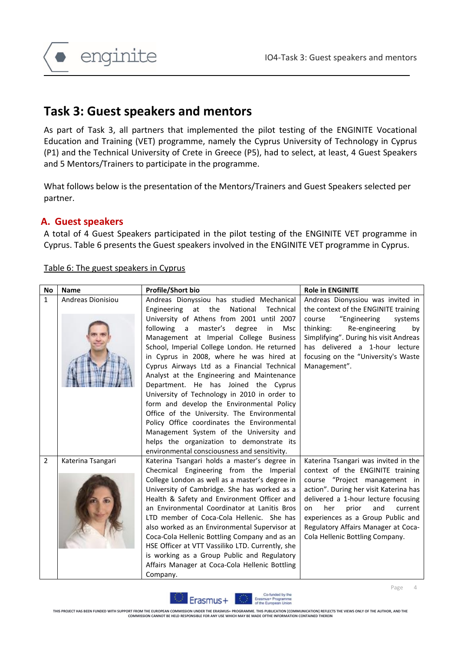

### **Task 3: Guest speakers and mentors**

As part of Task 3, all partners that implemented the pilot testing of the ENGINITE Vocational Education and Training (VET) programme, namely the Cyprus University of Technology in Cyprus (P1) and the Technical University of Crete in Greece (P5), had to select, at least, 4 Guest Speakers and 5 Mentors/Trainers to participate in the programme.

What follows below is the presentation of the Mentors/Trainers and Guest Speakers selected per partner.

### **A. Guest speakers**

A total of 4 Guest Speakers participated in the pilot testing of the ENGINITE VET programme in Cyprus. Table 6 presents the Guest speakers involved in the ENGINITE VET programme in Cyprus.

| <b>No</b>      | <b>Name</b>       | <b>Profile/Short bio</b>                                 | <b>Role in ENGINITE</b>                |
|----------------|-------------------|----------------------------------------------------------|----------------------------------------|
| $\mathbf{1}$   | Andreas Dionisiou | Andreas Dionyssiou has studied Mechanical                | Andreas Dionyssiou was invited in      |
|                |                   | at the<br>National<br>Engineering<br>Technical           | the context of the ENGINITE training   |
|                |                   | University of Athens from 2001 until 2007                | "Engineering<br>course<br>systems      |
|                |                   | master's<br>following<br>degree<br><b>Msc</b><br>a<br>in | thinking:<br>Re-engineering<br>by      |
|                |                   | Management at Imperial College Business                  | Simplifying". During his visit Andreas |
|                |                   | School, Imperial College London. He returned             | has delivered a 1-hour lecture         |
|                |                   | in Cyprus in 2008, where he was hired at                 | focusing on the "University's Waste    |
|                |                   | Cyprus Airways Ltd as a Financial Technical              | Management".                           |
|                |                   | Analyst at the Engineering and Maintenance               |                                        |
|                |                   | Department. He has Joined the Cyprus                     |                                        |
|                |                   | University of Technology in 2010 in order to             |                                        |
|                |                   | form and develop the Environmental Policy                |                                        |
|                |                   | Office of the University. The Environmental              |                                        |
|                |                   | Policy Office coordinates the Environmental              |                                        |
|                |                   | Management System of the University and                  |                                        |
|                |                   | helps the organization to demonstrate its                |                                        |
|                |                   | environmental consciousness and sensitivity.             |                                        |
| $\overline{2}$ | Katerina Tsangari | Katerina Tsangari holds a master's degree in             | Katerina Tsangari was invited in the   |
|                |                   | Checmical Engineering from the Imperial                  | context of the ENGINITE training       |
|                |                   | College London as well as a master's degree in           | course "Project management in          |
|                |                   | University of Cambridge. She has worked as a             | action". During her visit Katerina has |
|                |                   | Health & Safety and Environment Officer and              | delivered a 1-hour lecture focusing    |
|                |                   | an Environmental Coordinator at Lanitis Bros             | her<br>prior<br>and<br>current<br>on   |
|                |                   | LTD member of Coca-Cola Hellenic. She has                | experiences as a Group Public and      |
|                |                   | also worked as an Environmental Supervisor at            | Regulatory Affairs Manager at Coca-    |
|                |                   | Coca-Cola Hellenic Bottling Company and as an            | Cola Hellenic Bottling Company.        |
|                |                   | HSE Officer at VTT Vassiliko LTD. Currently, she         |                                        |
|                |                   | is working as a Group Public and Regulatory              |                                        |
|                |                   | Affairs Manager at Coca-Cola Hellenic Bottling           |                                        |
|                |                   | Company.                                                 |                                        |

Table 6: The guest speakers in Cyprus

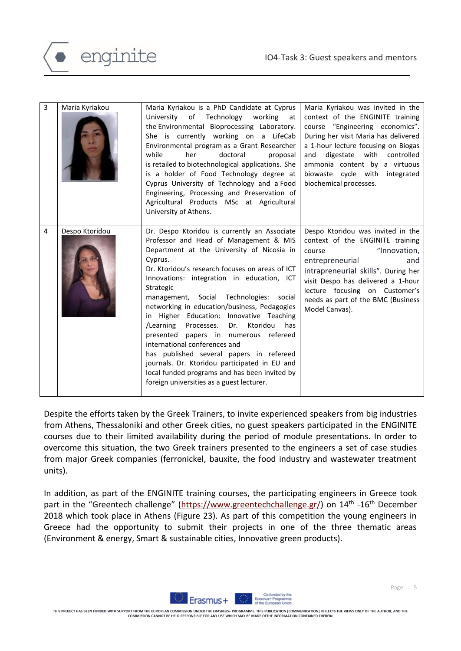

| 3 | Maria Kyriakou | Maria Kyriakou is a PhD Candidate at Cyprus<br>University<br>Technology<br>of<br>working<br>at<br>the Environmental Bioprocessing Laboratory.<br>She is currently working on a LifeCab<br>Environmental program as a Grant Researcher<br>her<br>doctoral<br>while<br>proposal<br>is retailed to biotechnological applications. She<br>is a holder of Food Technology degree at<br>Cyprus University of Technology and a Food<br>Engineering, Processing and Preservation of<br>Agricultural Products MSc at Agricultural<br>University of Athens.                                                                                                                                                                              | Maria Kyriakou was invited in the<br>context of the ENGINITE training<br>course "Engineering economics".<br>During her visit Maria has delivered<br>a 1-hour lecture focusing on Biogas<br>digestate with controlled<br>and<br>ammonia content by a virtuous<br>biowaste cycle with integrated<br>biochemical processes. |
|---|----------------|--------------------------------------------------------------------------------------------------------------------------------------------------------------------------------------------------------------------------------------------------------------------------------------------------------------------------------------------------------------------------------------------------------------------------------------------------------------------------------------------------------------------------------------------------------------------------------------------------------------------------------------------------------------------------------------------------------------------------------|--------------------------------------------------------------------------------------------------------------------------------------------------------------------------------------------------------------------------------------------------------------------------------------------------------------------------|
| 4 | Despo Ktoridou | Dr. Despo Ktoridou is currently an Associate<br>Professor and Head of Management & MIS<br>Department at the University of Nicosia in<br>Cyprus.<br>Dr. Ktoridou's research focuses on areas of ICT<br>Innovations: integration in education, ICT<br>Strategic<br>management, Social Technologies:<br>social<br>networking in education/business, Pedagogies<br>in Higher Education: Innovative Teaching<br>/Learning Processes.<br>Dr.<br>Ktoridou<br>has<br>presented papers in numerous refereed<br>international conferences and<br>has published several papers in refereed<br>journals. Dr. Ktoridou participated in EU and<br>local funded programs and has been invited by<br>foreign universities as a guest lecturer. | Despo Ktoridou was invited in the<br>context of the ENGINITE training<br>"Innovation,<br>course<br>entrepreneurial<br>and<br>intrapreneurial skills". During her<br>visit Despo has delivered a 1-hour<br>lecture focusing on Customer's<br>needs as part of the BMC (Business<br>Model Canvas).                         |

Despite the efforts taken by the Greek Trainers, to invite experienced speakers from big industries from Athens, Thessaloniki and other Greek cities, no guest speakers participated in the ENGINITE courses due to their limited availability during the period of module presentations. In order to overcome this situation, the two Greek trainers presented to the engineers a set of case studies from major Greek companies (ferronickel, bauxite, the food industry and wastewater treatment units).

In addition, as part of the ENGINITE training courses, the participating engineers in Greece took part in the "Greentech challenge" ([https://www.greentechchallenge.gr/\)](https://www.greentechchallenge.gr/) on 14<sup>th</sup> -16<sup>th</sup> December 2018 which took place in Athens (Figure 23). As part of this competition the young engineers in Greece had the opportunity to submit their projects in one of the three thematic areas (Environment & energy, Smart & sustainable cities, Innovative green products).

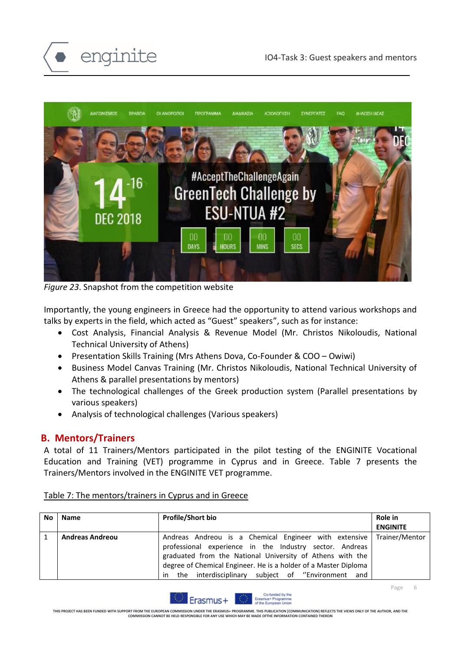



*Figure 23*. Snapshot from the competition website

Importantly, the young engineers in Greece had the opportunity to attend various workshops and talks by experts in the field, which acted as "Guest" speakers", such as for instance:

- Cost Analysis, Financial Analysis & Revenue Model (Mr. Christos Nikoloudis, National Technical University of Athens)
- Presentation Skills Training (Mrs Athens Dova, Co-Founder & COO Owiwi)
- Business Model Canvas Training (Mr. Christos Nikoloudis, National Technical University of Athens & parallel presentations by mentors)
- The technological challenges of the Greek production system (Parallel presentations by various speakers)
- Analysis of technological challenges (Various speakers)

#### **B. Mentors/Trainers**

A total of 11 Trainers/Mentors participated in the pilot testing of the ENGINITE Vocational Education and Training (VET) programme in Cyprus and in Greece. Table 7 presents the Trainers/Mentors involved in the ENGINITE VET programme.

| No | <b>Name</b>            | <b>Profile/Short bio</b>                                                                                                                                                                                                                                                                                    | Role in<br><b>ENGINITE</b> |
|----|------------------------|-------------------------------------------------------------------------------------------------------------------------------------------------------------------------------------------------------------------------------------------------------------------------------------------------------------|----------------------------|
|    | <b>Andreas Andreou</b> | Andreas Andreou is a Chemical Engineer with extensive<br>professional experience in the Industry sector. Andreas<br>graduated from the National University of Athens with the<br>degree of Chemical Engineer. He is a holder of a Master Diploma<br>the interdisciplinary subject of "Environment and<br>in | Trainer/Mentor             |

#### Table 7: The mentors/trainers in Cyprus and in Greece



Page 6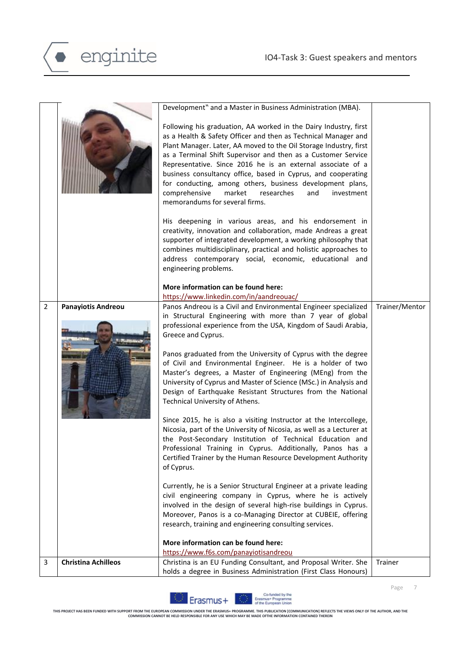

| Trainer        |
|----------------|
|                |
|                |
|                |
|                |
| Trainer/Mentor |
|                |
|                |
|                |

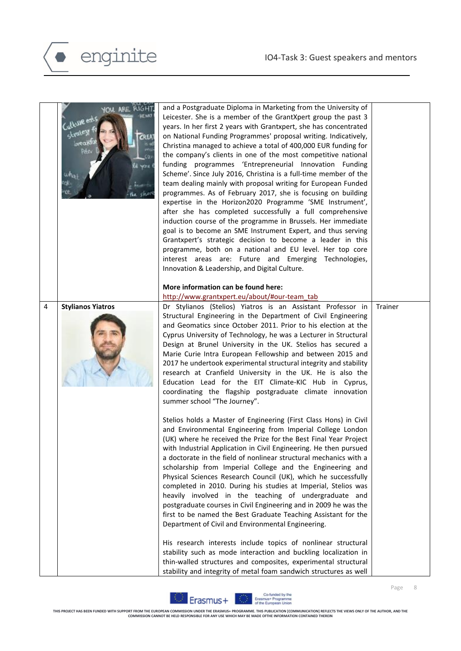

| YOU ARE<br>Culluse eds<br>miey<br>REA<br>eп¥<br>Nde<br>YOU<br>$wh_{01}$ | and a Postgraduate Diploma in Marketing from the University of<br>Leicester. She is a member of the GrantXpert group the past 3<br>years. In her first 2 years with Grantxpert, she has concentrated<br>on National Funding Programmes' proposal writing. Indicatively,<br>Christina managed to achieve a total of 400,000 EUR funding for<br>the company's clients in one of the most competitive national<br>funding programmes 'Entrepreneurial Innovation Funding<br>Scheme'. Since July 2016, Christina is a full-time member of the<br>team dealing mainly with proposal writing for European Funded<br>programmes. As of February 2017, she is focusing on building<br>expertise in the Horizon2020 Programme 'SME Instrument',<br>after she has completed successfully a full comprehensive<br>induction course of the programme in Brussels. Her immediate<br>goal is to become an SME Instrument Expert, and thus serving<br>Grantxpert's strategic decision to become a leader in this<br>programme, both on a national and EU level. Her top core<br>interest areas are: Future and Emerging Technologies,<br>Innovation & Leadership, and Digital Culture.<br>More information can be found here:<br>http://www.grantxpert.eu/about/#our-team_tab                                                                                                                                                                                                                                                                                                                                                                       |         |
|-------------------------------------------------------------------------|--------------------------------------------------------------------------------------------------------------------------------------------------------------------------------------------------------------------------------------------------------------------------------------------------------------------------------------------------------------------------------------------------------------------------------------------------------------------------------------------------------------------------------------------------------------------------------------------------------------------------------------------------------------------------------------------------------------------------------------------------------------------------------------------------------------------------------------------------------------------------------------------------------------------------------------------------------------------------------------------------------------------------------------------------------------------------------------------------------------------------------------------------------------------------------------------------------------------------------------------------------------------------------------------------------------------------------------------------------------------------------------------------------------------------------------------------------------------------------------------------------------------------------------------------------------------------------------------------------------------------------------|---------|
| <b>Stylianos Yiatros</b><br>$\overline{4}$                              | Dr Stylianos (Stelios) Yiatros is an Assistant Professor in<br>Structural Engineering in the Department of Civil Engineering<br>and Geomatics since October 2011. Prior to his election at the<br>Cyprus University of Technology, he was a Lecturer in Structural<br>Design at Brunel University in the UK. Stelios has secured a<br>Marie Curie Intra European Fellowship and between 2015 and<br>2017 he undertook experimental structural integrity and stability<br>research at Cranfield University in the UK. He is also the<br>Education Lead for the EIT Climate-KIC Hub in Cyprus,<br>coordinating the flagship postgraduate climate innovation<br>summer school "The Journey".<br>Stelios holds a Master of Engineering (First Class Hons) in Civil<br>and Environmental Engineering from Imperial College London<br>(UK) where he received the Prize for the Best Final Year Project<br>with Industrial Application in Civil Engineering. He then pursued<br>a doctorate in the field of nonlinear structural mechanics with a<br>scholarship from Imperial College and the Engineering and<br>Physical Sciences Research Council (UK), which he successfully<br>completed in 2010. During his studies at Imperial, Stelios was<br>heavily involved in the teaching of undergraduate and<br>postgraduate courses in Civil Engineering and in 2009 he was the<br>first to be named the Best Graduate Teaching Assistant for the<br>Department of Civil and Environmental Engineering.<br>His research interests include topics of nonlinear structural<br>stability such as mode interaction and buckling localization in | Trainer |

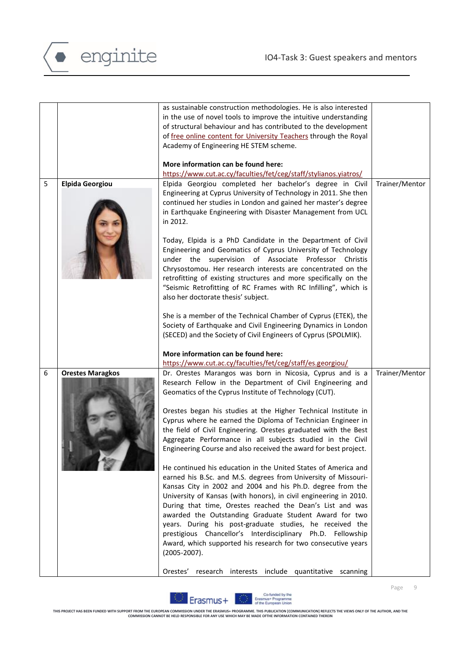



enginite

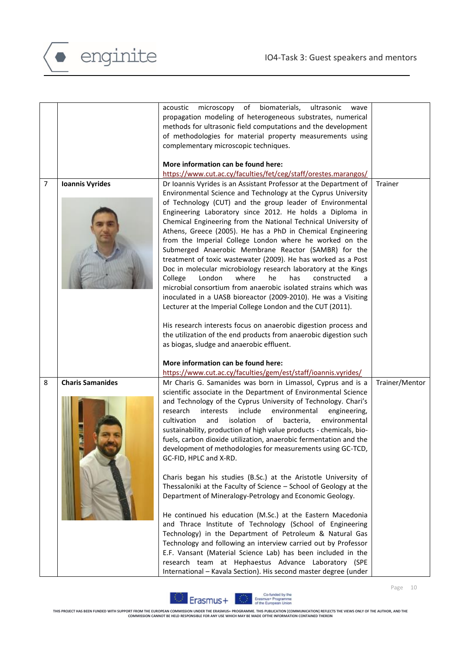

|                |                         | biomaterials,<br>microscopy<br>of<br>ultrasonic<br>acoustic<br>wave<br>propagation modeling of heterogeneous substrates, numerical<br>methods for ultrasonic field computations and the development<br>of methodologies for material property measurements using<br>complementary microscopic techniques.                                                                                                                                                                                                                                                                                                                                                                                                                                                                                                                                                                                                                                                                                                                                                    |                |
|----------------|-------------------------|--------------------------------------------------------------------------------------------------------------------------------------------------------------------------------------------------------------------------------------------------------------------------------------------------------------------------------------------------------------------------------------------------------------------------------------------------------------------------------------------------------------------------------------------------------------------------------------------------------------------------------------------------------------------------------------------------------------------------------------------------------------------------------------------------------------------------------------------------------------------------------------------------------------------------------------------------------------------------------------------------------------------------------------------------------------|----------------|
|                |                         | More information can be found here:<br>https://www.cut.ac.cy/faculties/fet/ceg/staff/orestes.marangos/                                                                                                                                                                                                                                                                                                                                                                                                                                                                                                                                                                                                                                                                                                                                                                                                                                                                                                                                                       |                |
| $\overline{7}$ | <b>Ioannis Vyrides</b>  | Dr Ioannis Vyrides is an Assistant Professor at the Department of<br>Environmental Science and Technology at the Cyprus University<br>of Technology (CUT) and the group leader of Environmental<br>Engineering Laboratory since 2012. He holds a Diploma in<br>Chemical Engineering from the National Technical University of<br>Athens, Greece (2005). He has a PhD in Chemical Engineering<br>from the Imperial College London where he worked on the<br>Submerged Anaerobic Membrane Reactor (SAMBR) for the<br>treatment of toxic wastewater (2009). He has worked as a Post<br>Doc in molecular microbiology research laboratory at the Kings<br>London<br>where<br>College<br>he<br>has<br>constructed<br>a<br>microbial consortium from anaerobic isolated strains which was<br>inoculated in a UASB bioreactor (2009-2010). He was a Visiting<br>Lecturer at the Imperial College London and the CUT (2011).<br>His research interests focus on anaerobic digestion process and<br>the utilization of the end products from anaerobic digestion such | Trainer        |
|                |                         | as biogas, sludge and anaerobic effluent.<br>More information can be found here:                                                                                                                                                                                                                                                                                                                                                                                                                                                                                                                                                                                                                                                                                                                                                                                                                                                                                                                                                                             |                |
|                |                         | https://www.cut.ac.cy/faculties/gem/est/staff/ioannis.vyrides/                                                                                                                                                                                                                                                                                                                                                                                                                                                                                                                                                                                                                                                                                                                                                                                                                                                                                                                                                                                               |                |
| 8              | <b>Charis Samanides</b> | Mr Charis G. Samanides was born in Limassol, Cyprus and is a<br>scientific associate in the Department of Environmental Science<br>and Technology of the Cyprus University of Technology. Chari's<br>research<br>interests<br>include<br>environmental<br>engineering,<br>and<br>isolation<br>cultivation<br>of<br>bacteria,<br>environmental<br>sustainability, production of high value products - chemicals, bio-<br>fuels, carbon dioxide utilization, anaerobic fermentation and the<br>development of methodologies for measurements using GC-TCD,<br>GC-FID, HPLC and X-RD.                                                                                                                                                                                                                                                                                                                                                                                                                                                                           | Trainer/Mentor |
|                |                         | Charis began his studies (B.Sc.) at the Aristotle University of<br>Thessaloniki at the Faculty of Science - School of Geology at the<br>Department of Mineralogy-Petrology and Economic Geology.<br>He continued his education (M.Sc.) at the Eastern Macedonia<br>and Thrace Institute of Technology (School of Engineering<br>Technology) in the Department of Petroleum & Natural Gas<br>Technology and following an interview carried out by Professor<br>E.F. Vansant (Material Science Lab) has been included in the<br>research team at Hephaestus Advance Laboratory (SPE<br>International - Kavala Section). His second master degree (under                                                                                                                                                                                                                                                                                                                                                                                                        |                |

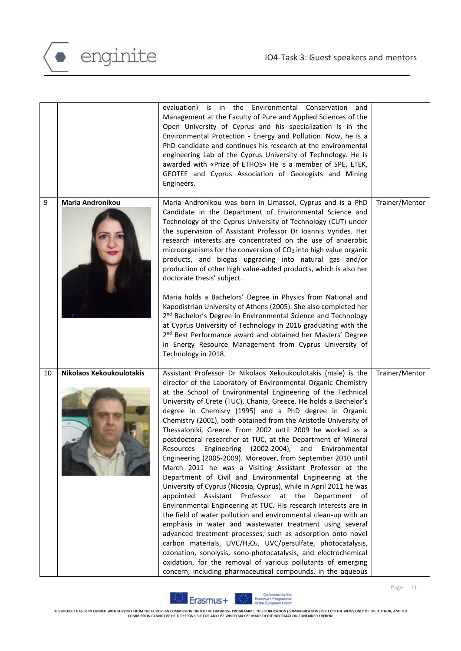

|    |                          | evaluation) is in the Environmental Conservation<br>and<br>Management at the Faculty of Pure and Applied Sciences of the<br>Open University of Cyprus and his specialization is in the<br>Environmental Protection - Energy and Pollution. Now, he is a<br>PhD candidate and continues his research at the environmental<br>engineering Lab of the Cyprus University of Technology. He is<br>awarded with «Prize of ETHOS» He is a member of SPE, ETEK,<br>GEOTEE and Cyprus Association of Geologists and Mining<br>Engineers.                                                                                                                                                                                                                                                                                                                                                                                                                                                                                                                                                                                                                                                                                                                                                                                                                                                                                                                                      |                |
|----|--------------------------|----------------------------------------------------------------------------------------------------------------------------------------------------------------------------------------------------------------------------------------------------------------------------------------------------------------------------------------------------------------------------------------------------------------------------------------------------------------------------------------------------------------------------------------------------------------------------------------------------------------------------------------------------------------------------------------------------------------------------------------------------------------------------------------------------------------------------------------------------------------------------------------------------------------------------------------------------------------------------------------------------------------------------------------------------------------------------------------------------------------------------------------------------------------------------------------------------------------------------------------------------------------------------------------------------------------------------------------------------------------------------------------------------------------------------------------------------------------------|----------------|
| 9  | Maria Andronikou         | Maria Andronikou was born in Limassol, Cyprus and is a PhD<br>Candidate in the Department of Environmental Science and<br>Technology of the Cyprus University of Technology (CUT) under<br>the supervision of Assistant Professor Dr Ioannis Vyrides. Her<br>research interests are concentrated on the use of anaerobic<br>microorganisms for the conversion of CO <sub>2</sub> into high value organic<br>products, and biogas upgrading into natural gas and/or<br>production of other high value-added products, which is also her<br>doctorate thesis' subject.<br>Maria holds a Bachelors' Degree in Physics from National and<br>Kapodistrian University of Athens (2005). She also completed her<br>2 <sup>nd</sup> Bachelor's Degree in Environmental Science and Technology<br>at Cyprus University of Technology in 2016 graduating with the<br>2 <sup>nd</sup> Best Performance award and obtained her Masters' Degree<br>in Energy Resource Management from Cyprus University of<br>Technology in 2018.                                                                                                                                                                                                                                                                                                                                                                                                                                                 | Trainer/Mentor |
| 10 | Nikolaos Xekoukoulotakis | Assistant Professor Dr Nikolaos Xekoukoulotakis (male) is the<br>director of the Laboratory of Environmental Organic Chemistry<br>at the School of Environmental Engineering of the Technical<br>University of Crete (TUC), Chania, Greece. He holds a Bachelor's<br>degree in Chemisry (1995) and a PhD degree in Organic<br>Chemistry (2001), both obtained from the Aristotle University of<br>Thessaloniki, Greece. From 2002 until 2009 he worked as a<br>postdoctoral researcher at TUC, at the Department of Mineral<br>Resources Engineering (2002-2004), and Environmental<br>Engineering (2005-2009). Moreover, from September 2010 until<br>March 2011 he was a Visiting Assistant Professor at the<br>Department of Civil and Environmental Engineering at the<br>University of Cyprus (Nicosia, Cyprus), while in April 2011 he was<br>appointed Assistant Professor at the<br>Department of<br>Environmental Engineering at TUC. His research interests are in<br>the field of water pollution and environmental clean-up with an<br>emphasis in water and wastewater treatment using several<br>advanced treatment processes, such as adsorption onto novel<br>carbon materials, UVC/H <sub>2</sub> O <sub>2</sub> , UVC/persulfate, photocatalysis,<br>ozonation, sonolysis, sono-photocatalysis, and electrochemical<br>oxidation, for the removal of various pollutants of emerging<br>concern, including pharmaceutical compounds, in the aqueous | Trainer/Mentor |

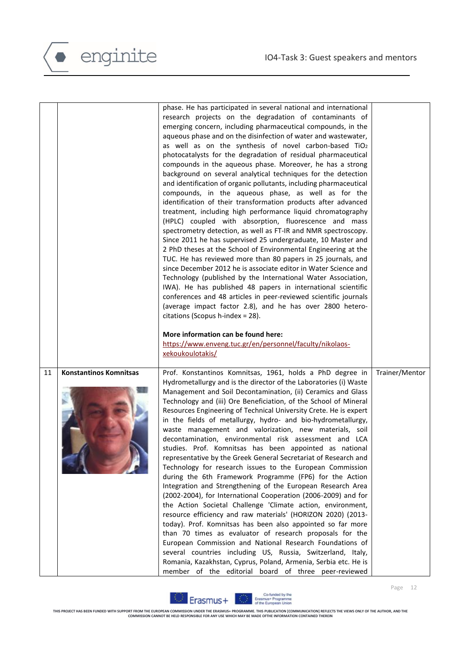

|    |                               | phase. He has participated in several national and international<br>research projects on the degradation of contaminants of<br>emerging concern, including pharmaceutical compounds, in the<br>aqueous phase and on the disinfection of water and wastewater,<br>as well as on the synthesis of novel carbon-based TiO <sub>2</sub><br>photocatalysts for the degradation of residual pharmaceutical<br>compounds in the aqueous phase. Moreover, he has a strong<br>background on several analytical techniques for the detection<br>and identification of organic pollutants, including pharmaceutical<br>compounds, in the aqueous phase, as well as for the<br>identification of their transformation products after advanced<br>treatment, including high performance liquid chromatography<br>(HPLC) coupled with absorption, fluorescence and mass<br>spectrometry detection, as well as FT-IR and NMR spectroscopy.<br>Since 2011 he has supervised 25 undergraduate, 10 Master and<br>2 PhD theses at the School of Environmental Engineering at the<br>TUC. He has reviewed more than 80 papers in 25 journals, and<br>since December 2012 he is associate editor in Water Science and<br>Technology (published by the International Water Association,<br>IWA). He has published 48 papers in international scientific<br>conferences and 48 articles in peer-reviewed scientific journals<br>(average impact factor 2.8), and he has over 2800 hetero-<br>citations (Scopus h-index = 28).<br>More information can be found here:<br>https://www.enveng.tuc.gr/en/personnel/faculty/nikolaos-<br>xekoukoulotakis/ |                |
|----|-------------------------------|-------------------------------------------------------------------------------------------------------------------------------------------------------------------------------------------------------------------------------------------------------------------------------------------------------------------------------------------------------------------------------------------------------------------------------------------------------------------------------------------------------------------------------------------------------------------------------------------------------------------------------------------------------------------------------------------------------------------------------------------------------------------------------------------------------------------------------------------------------------------------------------------------------------------------------------------------------------------------------------------------------------------------------------------------------------------------------------------------------------------------------------------------------------------------------------------------------------------------------------------------------------------------------------------------------------------------------------------------------------------------------------------------------------------------------------------------------------------------------------------------------------------------------------------------------------------------------------------------------------------------------|----------------|
| 11 | <b>Konstantinos Komnitsas</b> | Prof. Konstantinos Komnitsas, 1961, holds a PhD degree in<br>Hydrometallurgy and is the director of the Laboratories (i) Waste<br>Management and Soil Decontamination, (ii) Ceramics and Glass<br>Technology and (iii) Ore Beneficiation, of the School of Mineral<br>Resources Engineering of Technical University Crete. He is expert<br>in the fields of metallurgy, hydro- and bio-hydrometallurgy,<br>waste management and valorization, new materials, soil<br>decontamination, environmental risk assessment and LCA<br>studies. Prof. Komnitsas has been appointed as national<br>representative by the Greek General Secretariat of Research and<br>Technology for research issues to the European Commission<br>during the 6th Framework Programme (FP6) for the Action<br>Integration and Strengthening of the European Research Area<br>(2002-2004), for International Cooperation (2006-2009) and for<br>the Action Societal Challenge 'Climate action, environment,<br>resource efficiency and raw materials' (HORIZON 2020) (2013-<br>today). Prof. Komnitsas has been also appointed so far more<br>than 70 times as evaluator of research proposals for the<br>European Commission and National Research Foundations of<br>several countries including US, Russia, Switzerland, Italy,<br>Romania, Kazakhstan, Cyprus, Poland, Armenia, Serbia etc. He is<br>member of the editorial board of three peer-reviewed                                                                                                                                                                                            | Trainer/Mentor |